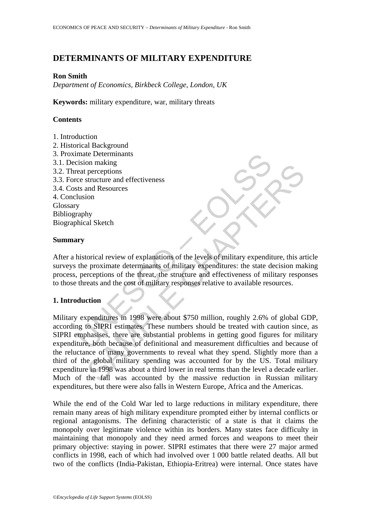# **DETERMINANTS OF MILITARY EXPENDITURE**

#### **Ron Smith**

*Department of Economics, Birkbeck College, London, UK* 

**Keywords:** military expenditure, war, military threats

## **Contents**

- 1. Introduction
- 2. Historical Background 3. Proximate Determinants
- 3.1. Decision making
- 3.2. Threat perceptions
- 3.3. Force structure and effectiveness
- 3.4. Costs and Resources
- 4. Conclusion Glossary Bibliography Biographical Sketch

#### **Summary**

After a historical review of explanations of the levels of military expenditure, this article surveys the proximate determinants of military expenditures: the state decision making process, perceptions of the threat, the structure and effectiveness of military responses to those threats and the cost of military responses relative to available resources.

### **1. Introduction**

make Determinants<br>
eat preceptions<br>
eat preceptions<br>
ee structure and effectiveness<br>
sts and Resources<br>
sts and Resources<br>
sts and Resources<br>
lusion<br>
y<br>
phistorical Sketch<br> **ury**<br>
thistorical review of explanations of the on making<br>perceptions<br>exercitions<br>and Resources<br>structure and effectiveness<br>and Resources<br>formiand effectiveness<br>of the levels of military expenditure, this are<br>proximate determinants of military expenditures: the state de Military expenditures in 1998 were about \$750 million, roughly 2.6% of global GDP, according to SIPRI estimates. These numbers should be treated with caution since, as SIPRI emphasises, there are substantial problems in getting good figures for military expenditure, both because of definitional and measurement difficulties and because of the reluctance of many governments to reveal what they spend. Slightly more than a third of the global military spending was accounted for by the US. Total military expenditure in 1998 was about a third lower in real terms than the level a decade earlier. Much of the fall was accounted by the massive reduction in Russian military expenditures, but there were also falls in Western Europe, Africa and the Americas.

While the end of the Cold War led to large reductions in military expenditure, there remain many areas of high military expenditure prompted either by internal conflicts or regional antagonisms. The defining characteristic of a state is that it claims the monopoly over legitimate violence within its borders. Many states face difficulty in maintaining that monopoly and they need armed forces and weapons to meet their primary objective: staying in power. SIPRI estimates that there were 27 major armed conflicts in 1998, each of which had involved over 1 000 battle related deaths. All but two of the conflicts (India-Pakistan, Ethiopia-Eritrea) were internal. Once states have